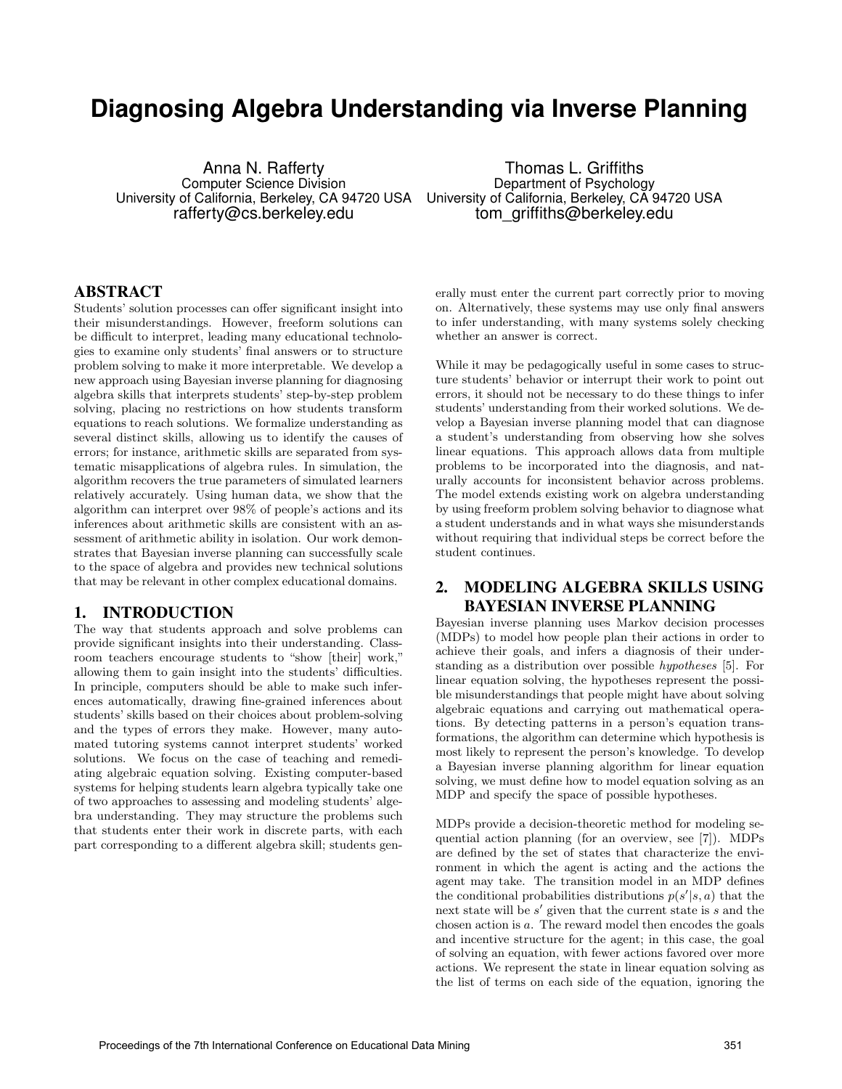# **Diagnosing Algebra Understanding via Inverse Planning**

Anna N. Rafferty Computer Science Division University of California, Berkeley, CA 94720 USA University of California, Berkeley, CA 94720 USA rafferty@cs.berkeley.edu

Thomas L. Griffiths Department of Psychology tom\_griffiths@berkeley.edu

#### ABSTRACT

Students' solution processes can offer significant insight into their misunderstandings. However, freeform solutions can be difficult to interpret, leading many educational technologies to examine only students' final answers or to structure problem solving to make it more interpretable. We develop a new approach using Bayesian inverse planning for diagnosing algebra skills that interprets students' step-by-step problem solving, placing no restrictions on how students transform equations to reach solutions. We formalize understanding as several distinct skills, allowing us to identify the causes of errors; for instance, arithmetic skills are separated from systematic misapplications of algebra rules. In simulation, the algorithm recovers the true parameters of simulated learners relatively accurately. Using human data, we show that the algorithm can interpret over 98% of people's actions and its inferences about arithmetic skills are consistent with an assessment of arithmetic ability in isolation. Our work demonstrates that Bayesian inverse planning can successfully scale to the space of algebra and provides new technical solutions that may be relevant in other complex educational domains.

# 1. INTRODUCTION

The way that students approach and solve problems can provide significant insights into their understanding. Classroom teachers encourage students to "show [their] work," allowing them to gain insight into the students' difficulties. In principle, computers should be able to make such inferences automatically, drawing fine-grained inferences about students' skills based on their choices about problem-solving and the types of errors they make. However, many automated tutoring systems cannot interpret students' worked solutions. We focus on the case of teaching and remediating algebraic equation solving. Existing computer-based systems for helping students learn algebra typically take one of two approaches to assessing and modeling students' algebra understanding. They may structure the problems such that students enter their work in discrete parts, with each part corresponding to a different algebra skill; students generally must enter the current part correctly prior to moving on. Alternatively, these systems may use only final answers to infer understanding, with many systems solely checking whether an answer is correct.

While it may be pedagogically useful in some cases to structure students' behavior or interrupt their work to point out errors, it should not be necessary to do these things to infer students' understanding from their worked solutions. We develop a Bayesian inverse planning model that can diagnose a student's understanding from observing how she solves linear equations. This approach allows data from multiple problems to be incorporated into the diagnosis, and naturally accounts for inconsistent behavior across problems. The model extends existing work on algebra understanding by using freeform problem solving behavior to diagnose what a student understands and in what ways she misunderstands without requiring that individual steps be correct before the student continues.

# 2. MODELING ALGEBRA SKILLS USING BAYESIAN INVERSE PLANNING

Bayesian inverse planning uses Markov decision processes (MDPs) to model how people plan their actions in order to achieve their goals, and infers a diagnosis of their understanding as a distribution over possible hypotheses [5]. For linear equation solving, the hypotheses represent the possible misunderstandings that people might have about solving algebraic equations and carrying out mathematical operations. By detecting patterns in a person's equation transformations, the algorithm can determine which hypothesis is most likely to represent the person's knowledge. To develop a Bayesian inverse planning algorithm for linear equation solving, we must define how to model equation solving as an MDP and specify the space of possible hypotheses.

MDPs provide a decision-theoretic method for modeling sequential action planning (for an overview, see [7]). MDPs are defined by the set of states that characterize the environment in which the agent is acting and the actions the agent may take. The transition model in an MDP defines the conditional probabilities distributions  $p(s'|s, a)$  that the next state will be  $s'$  given that the current state is  $s$  and the chosen action is a. The reward model then encodes the goals and incentive structure for the agent; in this case, the goal of solving an equation, with fewer actions favored over more actions. We represent the state in linear equation solving as the list of terms on each side of the equation, ignoring the